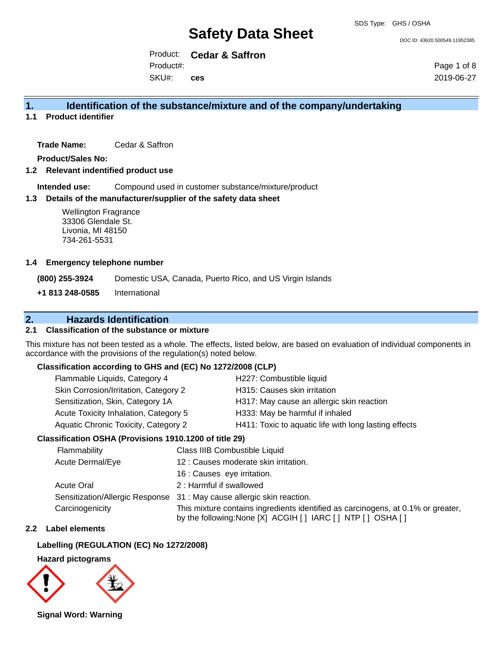DOC ID: 43620.500549.11952385

Product: **Cedar & Saffron** SKU#: Product#: **ces**

Page 1 of 8 2019-06-27

#### **1. Identification of the substance/mixture and of the company/undertaking**

**1.1 Product identifier**

**Trade Name:** Cedar & Saffron

**Product/Sales No:**

**1.2 Relevant indentified product use**

**Intended use:** Compound used in customer substance/mixture/product

#### **1.3 Details of the manufacturer/supplier of the safety data sheet**

#### **1.4 Emergency telephone number**

### **2. Hazards Identification**

#### **2.1 Classification of the substance or mixture**

#### **Classification according to GHS and (EC) No 1272/2008 (CLP)**

| Flammable Liquids, Category 4         | H227: Combustible liquid                              |
|---------------------------------------|-------------------------------------------------------|
| Skin Corrosion/Irritation, Category 2 | H315: Causes skin irritation                          |
| Sensitization, Skin, Category 1A      | H317: May cause an allergic skin reaction             |
| Acute Toxicity Inhalation, Category 5 | H333: May be harmful if inhaled                       |
| Aquatic Chronic Toxicity, Category 2  | H411: Toxic to aquatic life with long lasting effects |

#### **Classification OSHA (Provisions 1910.1200 of title 29)**

| <b>Wellington Fragrance</b><br>33306 Glendale St.<br>Livonia, MI 48150<br>734-261-5531        |                                       |                                       |                                                                                                                                                    |
|-----------------------------------------------------------------------------------------------|---------------------------------------|---------------------------------------|----------------------------------------------------------------------------------------------------------------------------------------------------|
| <b>Emergency telephone number</b>                                                             |                                       |                                       |                                                                                                                                                    |
| (800) 255-3924                                                                                |                                       |                                       | Domestic USA, Canada, Puerto Rico, and US Virgin Islands                                                                                           |
| +1 813 248-0585                                                                               | International                         |                                       |                                                                                                                                                    |
| <b>Classification of the substance or mixture</b>                                             | <b>Hazards Identification</b>         |                                       |                                                                                                                                                    |
| cordance with the provisions of the regulation(s) noted below.                                |                                       |                                       | s mixture has not been tested as a whole. The effects, listed below, are based on evaluation of individual components                              |
| Classification according to GHS and (EC) No 1272/2008 (CLP)                                   |                                       |                                       |                                                                                                                                                    |
| Flammable Liquids, Category 4                                                                 |                                       |                                       | H227: Combustible liquid                                                                                                                           |
|                                                                                               | Skin Corrosion/Irritation, Category 2 |                                       | H315: Causes skin irritation                                                                                                                       |
|                                                                                               | Sensitization, Skin, Category 1A      |                                       | H317: May cause an allergic skin reaction                                                                                                          |
|                                                                                               | Acute Toxicity Inhalation, Category 5 |                                       | H333: May be harmful if inhaled                                                                                                                    |
| Aquatic Chronic Toxicity, Category 2<br>H411: Toxic to aquatic life with long lasting effects |                                       |                                       |                                                                                                                                                    |
| Classification OSHA (Provisions 1910.1200 of title 29)                                        |                                       |                                       |                                                                                                                                                    |
| Flammability                                                                                  |                                       | Class IIIB Combustible Liquid         |                                                                                                                                                    |
| Acute Dermal/Eye                                                                              |                                       | 12 : Causes moderate skin irritation. |                                                                                                                                                    |
|                                                                                               |                                       | 16 : Causes eye irritation.           |                                                                                                                                                    |
| <b>Acute Oral</b>                                                                             |                                       | 2: Harmful if swallowed               |                                                                                                                                                    |
|                                                                                               |                                       |                                       | Sensitization/Allergic Response 31 : May cause allergic skin reaction.                                                                             |
| Carcinogenicity                                                                               |                                       |                                       | This mixture contains ingredients identified as carcinogens, at 0.1% or greater,<br>by the following: None [X] ACGIH [ ] IARC [ ] NTP [ ] OSHA [ ] |
| <b>Label elements</b>                                                                         |                                       |                                       |                                                                                                                                                    |
| Labelling (REGULATION (EC) No 1272/2008)                                                      |                                       |                                       |                                                                                                                                                    |
| <b>Hazard pictograms</b>                                                                      |                                       |                                       |                                                                                                                                                    |
| Signal Word: Warning                                                                          |                                       |                                       |                                                                                                                                                    |

#### **2.2 Label elements**

#### **Labelling (REGULATION (EC) No 1272/2008)**

#### **Hazard pictograms**

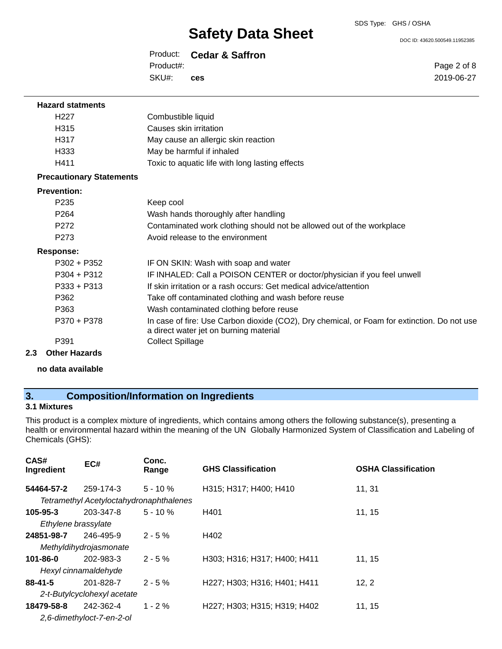DOC ID: 43620.500549.11952385

Page 2 of 8 2019-06-27

Product: **Cedar & Saffron** Product#:

SKU#: **ces**

| <b>Hazard statments</b>         |                                                                                                                                       |
|---------------------------------|---------------------------------------------------------------------------------------------------------------------------------------|
| H <sub>22</sub> 7               | Combustible liquid                                                                                                                    |
| H315                            | Causes skin irritation                                                                                                                |
| H317                            | May cause an allergic skin reaction                                                                                                   |
| H333                            | May be harmful if inhaled                                                                                                             |
| H411                            | Toxic to aquatic life with long lasting effects                                                                                       |
| <b>Precautionary Statements</b> |                                                                                                                                       |
| <b>Prevention:</b>              |                                                                                                                                       |
| P <sub>235</sub>                | Keep cool                                                                                                                             |
| P <sub>264</sub>                | Wash hands thoroughly after handling                                                                                                  |
| P272                            | Contaminated work clothing should not be allowed out of the workplace                                                                 |
| P <sub>273</sub>                | Avoid release to the environment                                                                                                      |
| <b>Response:</b>                |                                                                                                                                       |
| $P302 + P352$                   | IF ON SKIN: Wash with soap and water                                                                                                  |
| $P304 + P312$                   | IF INHALED: Call a POISON CENTER or doctor/physician if you feel unwell                                                               |
| $P333 + P313$                   | If skin irritation or a rash occurs: Get medical advice/attention                                                                     |
| P362                            | Take off contaminated clothing and wash before reuse                                                                                  |
| P363                            | Wash contaminated clothing before reuse                                                                                               |
| P370 + P378                     | In case of fire: Use Carbon dioxide (CO2), Dry chemical, or Foam for extinction. Do not use<br>a direct water jet on burning material |
| P391                            | <b>Collect Spillage</b>                                                                                                               |
| Other Heresale                  |                                                                                                                                       |

**2.3 Other Hazards**

**no data available**

### **3. Composition/Information on Ingredients**

### **3.1 Mixtures**

This product is a complex mixture of ingredients, which contains among others the following substance(s), presenting a health or environmental hazard within the meaning of the UN Globally Harmonized System of Classification and Labeling of Chemicals (GHS):

| CAS#<br>Ingredient  | EC#                                     | Conc.<br>Range | <b>GHS Classification</b>                                                                    | <b>OSHA Classification</b> |
|---------------------|-----------------------------------------|----------------|----------------------------------------------------------------------------------------------|----------------------------|
| 54464-57-2          | 259-174-3                               | $5 - 10%$      | H315; H317; H400; H410                                                                       | 11, 31                     |
|                     | Tetramethyl Acetyloctahydronaphthalenes |                |                                                                                              |                            |
| $105 - 95 - 3$      | 203-347-8                               | $5 - 10 \%$    | H401                                                                                         | 11, 15                     |
| Ethylene brassylate |                                         |                |                                                                                              |                            |
| 24851-98-7          | 246-495-9                               | $2 - 5%$       | H402                                                                                         |                            |
|                     | Methyldihydrojasmonate                  |                |                                                                                              |                            |
| $101 - 86 - 0$      | 202-983-3                               | $2 - 5%$       | H303; H316; H317; H400; H411                                                                 | 11.15                      |
|                     | Hexyl cinnamaldehyde                    |                |                                                                                              |                            |
| $88 - 41 - 5$       | 201-828-7                               | $2 - 5%$       | H <sub>227</sub> : H <sub>303</sub> : H <sub>316</sub> : H <sub>401</sub> : H <sub>411</sub> | 12, 2                      |
|                     | 2-t-Butylcyclohexyl acetate             |                |                                                                                              |                            |
| 18479-58-8          | 242-362-4                               | $1 - 2 \%$     | H227; H303; H315; H319; H402                                                                 | 11, 15                     |
|                     | 2,6-dimethyloct-7-en-2-ol               |                |                                                                                              |                            |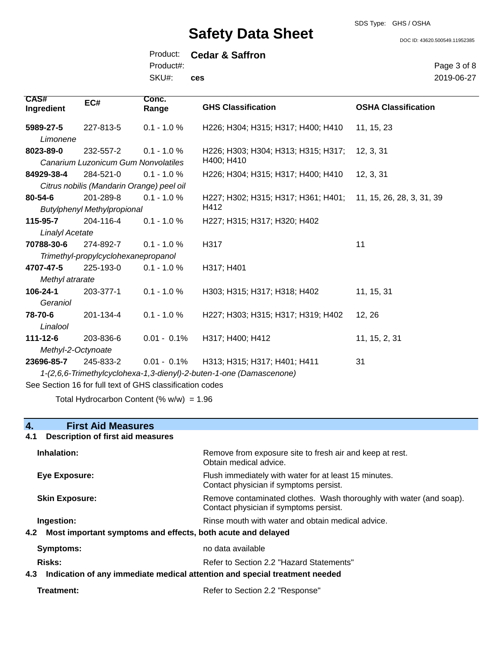SDS Type: GHS / OSHA

DOC ID: 43620.500549.11952385

Product: **Cedar & Saffron** SKU#: Product#: **ces**

Page 3 of 8 2019-06-27

| <b>CAS#</b><br>Ingredient                                           | EC#                                       | Conc.<br>Range | <b>GHS Classification</b>                                     | <b>OSHA Classification</b> |
|---------------------------------------------------------------------|-------------------------------------------|----------------|---------------------------------------------------------------|----------------------------|
| 5989-27-5                                                           | 227-813-5                                 | $0.1 - 1.0 %$  | H226; H304; H315; H317; H400; H410                            | 11, 15, 23                 |
| Limonene                                                            |                                           |                |                                                               |                            |
| 8023-89-0                                                           | 232-557-2                                 | $0.1 - 1.0 %$  | H226; H303; H304; H313; H315; H317;                           | 12, 3, 31                  |
|                                                                     | Canarium Luzonicum Gum Nonvolatiles       |                | H400; H410                                                    |                            |
| 84929-38-4                                                          | 284-521-0                                 | $0.1 - 1.0 %$  | H226; H304; H315; H317; H400; H410                            | 12, 3, 31                  |
|                                                                     | Citrus nobilis (Mandarin Orange) peel oil |                |                                                               |                            |
| 80-54-6                                                             | 201-289-8                                 | $0.1 - 1.0 %$  | H227; H302; H315; H317; H361; H401; 11, 15, 26, 28, 3, 31, 39 |                            |
|                                                                     | <b>Butylphenyl Methylpropional</b>        |                | H412                                                          |                            |
| 115-95-7                                                            | 204-116-4                                 | $0.1 - 1.0 %$  | H227; H315; H317; H320; H402                                  |                            |
| Linalyl Acetate                                                     |                                           |                |                                                               |                            |
| 70788-30-6                                                          | 274-892-7                                 | $0.1 - 1.0 %$  | H317                                                          | 11                         |
|                                                                     | Trimethyl-propylcyclohexanepropanol       |                |                                                               |                            |
| 4707-47-5                                                           | 225-193-0                                 | $0.1 - 1.0 %$  | H317; H401                                                    |                            |
| Methyl atrarate                                                     |                                           |                |                                                               |                            |
| 106-24-1                                                            | 203-377-1                                 | $0.1 - 1.0 %$  | H303; H315; H317; H318; H402                                  | 11, 15, 31                 |
| Geraniol                                                            |                                           |                |                                                               |                            |
| 78-70-6                                                             | 201-134-4                                 | $0.1 - 1.0 %$  | H227; H303; H315; H317; H319; H402                            | 12, 26                     |
| Linalool                                                            |                                           |                |                                                               |                            |
| $111 - 12 - 6$                                                      | 203-836-6                                 | $0.01 - 0.1\%$ | H317; H400; H412                                              | 11, 15, 2, 31              |
| Methyl-2-Octynoate                                                  |                                           |                |                                                               |                            |
| 23696-85-7                                                          | 245-833-2                                 | $0.01 - 0.1\%$ | H313; H315; H317; H401; H411                                  | 31                         |
| 1-(2,6,6-Trimethylcyclohexa-1,3-dienyl)-2-buten-1-one (Damascenone) |                                           |                |                                                               |                            |
|                                                                     |                                           |                |                                                               |                            |

See Section 16 for full text of GHS classification codes

Total Hydrocarbon Content  $(% \mathcal{O}_{N})$  = 1.96

| <b>First Aid Measures</b><br>4.                                                   |                                                                                                               |
|-----------------------------------------------------------------------------------|---------------------------------------------------------------------------------------------------------------|
| 4.1<br><b>Description of first aid measures</b>                                   |                                                                                                               |
| Inhalation:                                                                       | Remove from exposure site to fresh air and keep at rest.<br>Obtain medical advice.                            |
| Eye Exposure:                                                                     | Flush immediately with water for at least 15 minutes.<br>Contact physician if symptoms persist.               |
| <b>Skin Exposure:</b>                                                             | Remove contaminated clothes. Wash thoroughly with water (and soap).<br>Contact physician if symptoms persist. |
| Ingestion:                                                                        | Rinse mouth with water and obtain medical advice.                                                             |
| Most important symptoms and effects, both acute and delayed<br>4.2                |                                                                                                               |
| <b>Symptoms:</b>                                                                  | no data available                                                                                             |
| <b>Risks:</b>                                                                     | Refer to Section 2.2 "Hazard Statements"                                                                      |
| Indication of any immediate medical attention and special treatment needed<br>4.3 |                                                                                                               |
| Treatment:                                                                        | Refer to Section 2.2 "Response"                                                                               |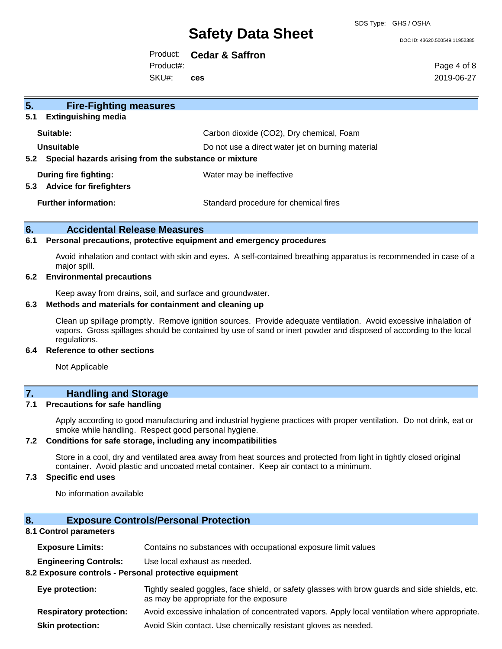SDS Type: GHS / OSHA

DOC ID: 43620.500549.11952385

Product: **Cedar & Saffron** Product#:

SKU#: **ces** Page 4 of 8 2019-06-27

| 5.<br><b>Fire-Fighting measures</b>                                        |                                                                                               |
|----------------------------------------------------------------------------|-----------------------------------------------------------------------------------------------|
| 5.1<br><b>Extinguishing media</b><br>Suitable:                             |                                                                                               |
| Unsuitable<br>Special hazards arising from the substance or mixture<br>5.2 | Carbon dioxide (CO2), Dry chemical, Foam<br>Do not use a direct water jet on burning material |
| During fire fighting:<br><b>Advice for firefighters</b><br>5.3             | Water may be ineffective                                                                      |
| <b>Further information:</b>                                                | Standard procedure for chemical fires                                                         |

#### **6. Accidental Release Measures**

#### **6.1 Personal precautions, protective equipment and emergency procedures**

Avoid inhalation and contact with skin and eyes. A self-contained breathing apparatus is recommended in case of a major spill.

#### **6.2 Environmental precautions**

Keep away from drains, soil, and surface and groundwater.

#### **6.3 Methods and materials for containment and cleaning up**

Clean up spillage promptly. Remove ignition sources. Provide adequate ventilation. Avoid excessive inhalation of vapors. Gross spillages should be contained by use of sand or inert powder and disposed of according to the local regulations.

#### **6.4 Reference to other sections**

Not Applicable

#### **7. Handling and Storage**

#### **7.1 Precautions for safe handling**

Apply according to good manufacturing and industrial hygiene practices with proper ventilation. Do not drink, eat or smoke while handling. Respect good personal hygiene.

#### **7.2 Conditions for safe storage, including any incompatibilities**

Store in a cool, dry and ventilated area away from heat sources and protected from light in tightly closed original container. Avoid plastic and uncoated metal container. Keep air contact to a minimum.

#### **7.3 Specific end uses**

No information available

### **8. Exposure Controls/Personal Protection**

#### **8.1 Control parameters**

| <b>Exposure Limits:</b> |  | Contains no substances with occupational exposure limit values |
|-------------------------|--|----------------------------------------------------------------|
|-------------------------|--|----------------------------------------------------------------|

**Engineering Controls:** Use local exhaust as needed.

#### **8.2 Exposure controls - Personal protective equipment**

| Eye protection: | Tightly sealed goggles, face shield, or safety glasses with brow guards and side shields, etc.<br>as may be appropriate for the exposure |
|-----------------|------------------------------------------------------------------------------------------------------------------------------------------|
|                 | . A set the second of the left of a constructed the second Asset that the settle for a characteristic and the                            |

- **Respiratory protection:** Avoid excessive inhalation of concentrated vapors. Apply local ventilation where appropriate.
- **Skin protection:** Avoid Skin contact. Use chemically resistant gloves as needed.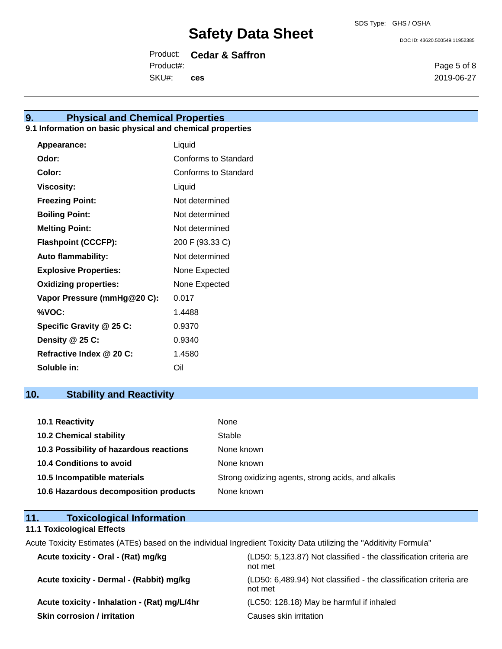DOC ID: 43620.500549.11952385

Product: **Cedar & Saffron** SKU#: Product#: **ces**

**9. Physical and Chemical Properties**

#### **9.1 Information on basic physical and chemical properties**

| Appearance:                  | Liquid               |
|------------------------------|----------------------|
| Odor:                        | Conforms to Standard |
| Color:                       | Conforms to Standard |
| <b>Viscosity:</b>            | Liquid               |
| <b>Freezing Point:</b>       | Not determined       |
| <b>Boiling Point:</b>        | Not determined       |
| <b>Melting Point:</b>        | Not determined       |
| <b>Flashpoint (CCCFP):</b>   | 200 F (93.33 C)      |
| <b>Auto flammability:</b>    | Not determined       |
| <b>Explosive Properties:</b> | None Expected        |
| <b>Oxidizing properties:</b> | None Expected        |
| Vapor Pressure (mmHg@20 C):  | 0.017                |
| %VOC:                        | 1.4488               |
| Specific Gravity @ 25 C:     | 0.9370               |
| Density $@25C$ :             | 0.9340               |
| Refractive Index @ 20 C:     | 1.4580               |
| Soluble in:                  | Oil                  |

### **10. Stability and Reactivity**

| <b>10.1 Reactivity</b>                  | None                                               |
|-----------------------------------------|----------------------------------------------------|
| <b>10.2 Chemical stability</b>          | Stable                                             |
| 10.3 Possibility of hazardous reactions | None known                                         |
| 10.4 Conditions to avoid                | None known                                         |
| 10.5 Incompatible materials             | Strong oxidizing agents, strong acids, and alkalis |
| 10.6 Hazardous decomposition products   | None known                                         |

#### **11. Toxicological Information**

#### **11.1 Toxicological Effects**

Acute Toxicity Estimates (ATEs) based on the individual Ingredient Toxicity Data utilizing the "Additivity Formula"

| Acute toxicity - Oral - (Rat) mg/kg          | (LD50: 5,123.87) Not classified - the classification criteria are<br>not met |
|----------------------------------------------|------------------------------------------------------------------------------|
| Acute toxicity - Dermal - (Rabbit) mg/kg     | (LD50: 6,489.94) Not classified - the classification criteria are<br>not met |
| Acute toxicity - Inhalation - (Rat) mg/L/4hr | (LC50: 128.18) May be harmful if inhaled                                     |
| <b>Skin corrosion / irritation</b>           | Causes skin irritation                                                       |

Page 5 of 8 2019-06-27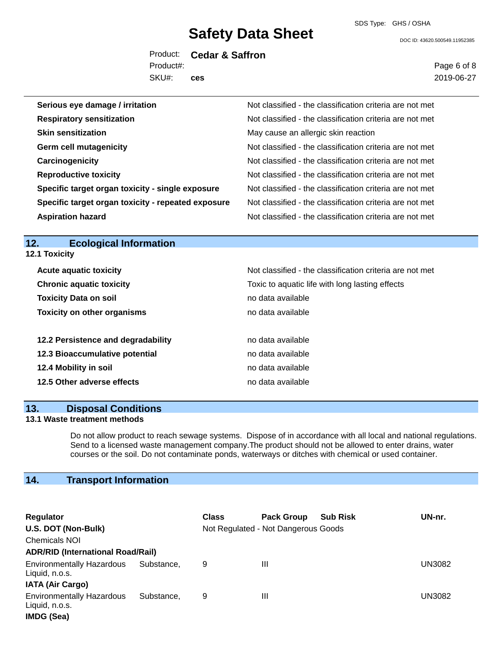DOC ID: 43620.500549.11952385

Product: **Cedar & Saffron** SKU#: Product#: **ces**

Page 6 of 8 2019-06-27

| Serious eye damage / irritation                    | Not classified - the classification criteria are not met |
|----------------------------------------------------|----------------------------------------------------------|
| <b>Respiratory sensitization</b>                   | Not classified - the classification criteria are not met |
| <b>Skin sensitization</b>                          | May cause an allergic skin reaction                      |
| <b>Germ cell mutagenicity</b>                      | Not classified - the classification criteria are not met |
| Carcinogenicity                                    | Not classified - the classification criteria are not met |
| <b>Reproductive toxicity</b>                       | Not classified - the classification criteria are not met |
| Specific target organ toxicity - single exposure   | Not classified - the classification criteria are not met |
| Specific target organ toxicity - repeated exposure | Not classified - the classification criteria are not met |
| <b>Aspiration hazard</b>                           | Not classified - the classification criteria are not met |

#### **12. Ecological Information 12.1 Toxicity**

| <b>Acute aquatic toxicity</b>      | Not classified - the classification criteria are not met |
|------------------------------------|----------------------------------------------------------|
| <b>Chronic aquatic toxicity</b>    | Toxic to aquatic life with long lasting effects          |
| <b>Toxicity Data on soil</b>       | no data available                                        |
| <b>Toxicity on other organisms</b> | no data available                                        |
| 12.2 Persistence and degradability | no data available                                        |
| 12.3 Bioaccumulative potential     | no data available                                        |
| 12.4 Mobility in soil              | no data available                                        |
| 12.5 Other adverse effects         | no data available                                        |

#### **13. Disposal Conditions**

#### **13.1 Waste treatment methods**

Do not allow product to reach sewage systems. Dispose of in accordance with all local and national regulations. Send to a licensed waste management company.The product should not be allowed to enter drains, water courses or the soil. Do not contaminate ponds, waterways or ditches with chemical or used container.

### **14. Transport Information**

| Regulator<br>U.S. DOT (Non-Bulk)<br><b>Chemicals NOI</b>                      |            | <b>Class</b> | <b>Pack Group</b><br>Not Regulated - Not Dangerous Goods | <b>Sub Risk</b> | UN-nr. |  |  |
|-------------------------------------------------------------------------------|------------|--------------|----------------------------------------------------------|-----------------|--------|--|--|
| <b>ADR/RID (International Road/Rail)</b>                                      |            |              |                                                          |                 |        |  |  |
| <b>Environmentally Hazardous</b><br>Liquid, n.o.s.<br><b>IATA (Air Cargo)</b> | Substance, | 9            | Ш                                                        |                 | UN3082 |  |  |
| <b>Environmentally Hazardous</b><br>Liquid, n.o.s.<br>IMDG (Sea)              | Substance. | 9            | Ш                                                        |                 | UN3082 |  |  |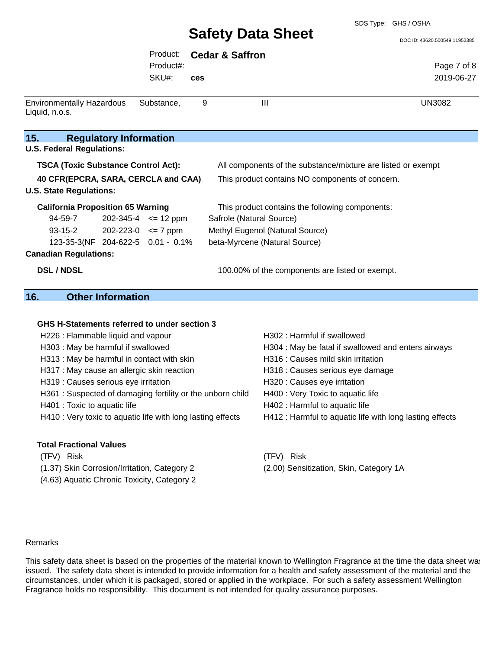#### SDS Type: GHS / OSHA

## **Safety Data Sheet**

|                                                    |                               |                            |     | <b>Safety Data Sheet</b>                                     | DOC ID: 43620.500549.11952385 |
|----------------------------------------------------|-------------------------------|----------------------------|-----|--------------------------------------------------------------|-------------------------------|
|                                                    |                               | Product:                   |     | <b>Cedar &amp; Saffron</b>                                   |                               |
|                                                    |                               | Product#:                  |     |                                                              | Page 7 of 8                   |
|                                                    |                               | SKU#:                      | ces |                                                              | 2019-06-27                    |
| <b>Environmentally Hazardous</b><br>Liquid, n.o.s. |                               | Substance,                 | 9   | Ш                                                            | <b>UN3082</b>                 |
| 15.<br><b>U.S. Federal Regulations:</b>            | <b>Regulatory Information</b> |                            |     |                                                              |                               |
| <b>TSCA (Toxic Substance Control Act):</b>         |                               |                            |     | All components of the substance/mixture are listed or exempt |                               |
| 40 CFR(EPCRA, SARA, CERCLA and CAA)                |                               |                            |     | This product contains NO components of concern.              |                               |
| <b>U.S. State Regulations:</b>                     |                               |                            |     |                                                              |                               |
| <b>California Proposition 65 Warning</b>           |                               |                            |     | This product contains the following components:              |                               |
| 94-59-7                                            |                               | $202-345-4$ <= 12 ppm      |     | Safrole (Natural Source)                                     |                               |
| 93-15-2                                            |                               | $202 - 223 - 0 \leq 7$ ppm |     | Methyl Eugenol (Natural Source)                              |                               |
| 123-35-3(NF 204-622-5 0.01 - 0.1%                  |                               |                            |     | beta-Myrcene (Natural Source)                                |                               |
| <b>Canadian Regulations:</b>                       |                               |                            |     |                                                              |                               |
| <b>DSL/NDSL</b>                                    |                               |                            |     | 100.00% of the components are listed or exempt.              |                               |

#### **16. Other Information**

#### **GHS H-Statements referred to under section 3**

- H226 : Flammable liquid and vapour H302 : Harmful if swallowed
- 
- H313 : May be harmful in contact with skin H316 : Causes mild skin irritation
- H317 : May cause an allergic skin reaction H318 : Causes serious eye damage
- H319 : Causes serious eye irritation **H320** : Causes eye irritation
- H361 : Suspected of damaging fertility or the unborn child H400 : Very Toxic to aquatic life
- 
- H410 : Very toxic to aquatic life with long lasting effects H412 : Harmful to aquatic life with long lasting effects

#### **Total Fractional Values**

- 
- (1.37) Skin Corrosion/Irritation, Category 2 (2.00) Sensitization, Skin, Category 1A
- (4.63) Aquatic Chronic Toxicity, Category 2
- 
- H303 : May be harmful if swallowed **H304** : May be fatal if swallowed and enters airways
	-
	-
	-
	-
- H401 : Toxic to aquatic life H402 : Harmful to aquatic life
	-
- (TFV) Risk (TFV) Risk
	-

#### Remarks

This safety data sheet is based on the properties of the material known to Wellington Fragrance at the time the data sheet was issued. The safety data sheet is intended to provide information for a health and safety assessment of the material and the circumstances, under which it is packaged, stored or applied in the workplace. For such a safety assessment Wellington Fragrance holds no responsibility. This document is not intended for quality assurance purposes.